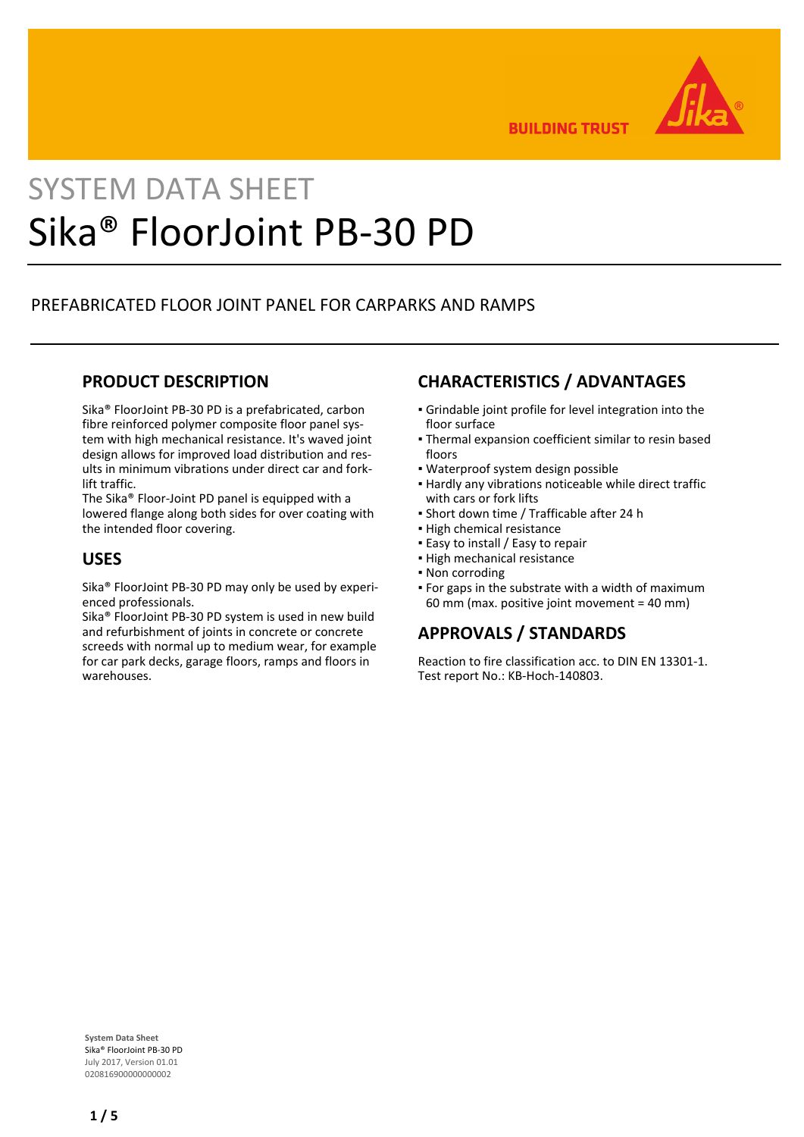

**BUILDING TRUST** 

# SYSTEM DATA SHEET Sika® FloorJoint PB-30 PD

## PREFABRICATED FLOOR JOINT PANEL FOR CARPARKS AND RAMPS

## **PRODUCT DESCRIPTION**

Sika® FloorJoint PB-30 PD is a prefabricated, carbon fibre reinforced polymer composite floor panel system with high mechanical resistance. It's waved joint design allows for improved load distribution and results in minimum vibrations under direct car and forklift traffic.

The Sika® Floor-Joint PD panel is equipped with a lowered flange along both sides for over coating with the intended floor covering.

## **USES**

Sika® FloorJoint PB-30 PD may only be used by experienced professionals.

Sika® FloorJoint PB-30 PD system is used in new build and refurbishment of joints in concrete or concrete screeds with normal up to medium wear, for example for car park decks, garage floors, ramps and floors in warehouses.

## **CHARACTERISTICS / ADVANTAGES**

- Grindable joint profile for level integration into the floor surface
- Thermal expansion coefficient similar to resin based floors
- Waterproof system design possible
- **Hardly any vibrations noticeable while direct traffic** with cars or fork lifts
- Short down time / Trafficable after 24 h
- **.** High chemical resistance
- **Easy to install / Easy to repair**
- High mechanical resistance
- Non corroding
- For gaps in the substrate with a width of maximum 60 mm (max. positive joint movement = 40 mm)

## **APPROVALS / STANDARDS**

Reaction to fire classification acc. to DIN EN 13301-1. Test report No.: KB-Hoch-140803.

**System Data Sheet** Sika® FloorJoint PB-30 PD July 2017, Version 01.01 020816900000000002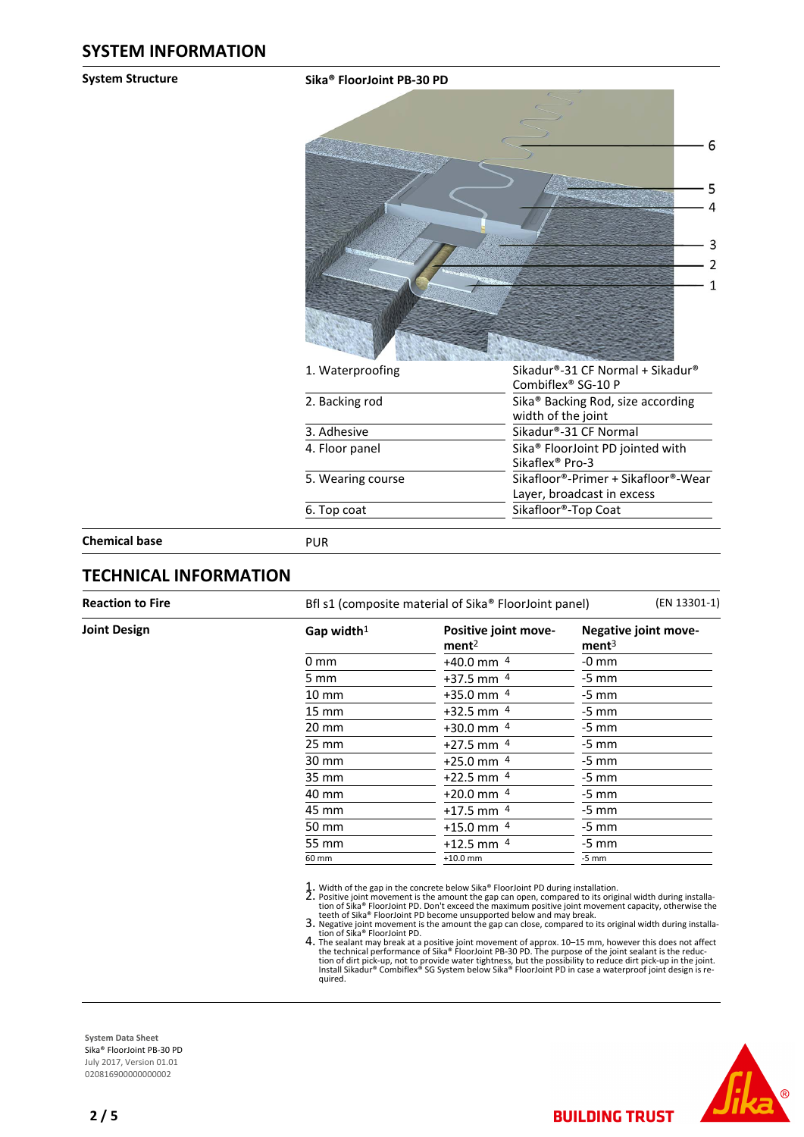#### **System Structure Sika® FloorJoint PB-30 PD**



| 1. Waterproofing  | Sikadur®-31 CF Normal + Sikadur®              |
|-------------------|-----------------------------------------------|
|                   | Combiflex <sup>®</sup> SG-10 P                |
| 2. Backing rod    | Sika <sup>®</sup> Backing Rod, size according |
|                   | width of the joint                            |
| 3. Adhesive       | Sikadur®-31 CF Normal                         |
| 4. Floor panel    | Sika <sup>®</sup> FloorJoint PD jointed with  |
|                   | Sikaflex <sup>®</sup> Pro-3                   |
| 5. Wearing course | Sikafloor®-Primer + Sikafloor®-Wear           |
|                   | Layer, broadcast in excess                    |
| 6. Top coat       | Sikafloor®-Top Coat                           |
|                   |                                               |
| PUR               |                                               |

**Chemical base** 

## **TECHNICAL INFORMATION**

**Joint Design** 

**Reaction to Fire** Bfl s1 (composite material of Sika® FloorJoint panel) (EN 13301-1)

| Gap width $1$   | Positive joint move-<br>ment <sup>2</sup> | <b>Negative joint move-</b><br>ment <sup>3</sup> |  |  |
|-----------------|-------------------------------------------|--------------------------------------------------|--|--|
| 0 mm            | $+40.0$ mm $4$                            | $-0$ mm                                          |  |  |
| 5 mm            | $+37.5$ mm $4$                            | $-5$ mm                                          |  |  |
| $10 \text{ mm}$ | $+35.0$ mm $4$                            | $-5$ mm                                          |  |  |
| $15 \text{ mm}$ | $+32.5$ mm $4$                            | $-5$ mm                                          |  |  |
| $20 \text{ mm}$ | $+30.0$ mm $4$                            | $-5$ mm                                          |  |  |
| $25 \text{ mm}$ | $+27.5$ mm $4$                            | $-5$ mm                                          |  |  |
| 30 mm           | $+25.0$ mm $4$                            | $-5$ mm                                          |  |  |
| 35 mm           | $+22.5$ mm $4$                            | $-5$ mm                                          |  |  |
| 40 mm           | $+20.0$ mm $4$                            | $-5$ mm                                          |  |  |
| 45 mm           | $+17.5$ mm $4$                            | $-5$ mm                                          |  |  |
| 50 mm           | $+15.0$ mm $4$                            | $-5$ mm                                          |  |  |
| 55 mm           | $+12.5$ mm $4$                            | $-5$ mm                                          |  |  |
| 60 mm           | $+10.0$ mm                                | $-5$ mm                                          |  |  |

1. Width of the gap in the concrete below Sika® FloorJoint PD during installation.<br>
2. Positive joint movement is the amount the gap can open, compared to its original width during installation<br>
tion of Sika® FloorJoint P 2.

3. Negative joint movement is the amount the gap can close, compared to its original width during installa-<br>tion of Sika® FloorJoint PD.

The sealant may break at a positive joint movement of approx. 10–15 mm, however this does not affect<br>the technical performance of Sika® FloorJoint PB-30 PD. The purpose of the joint sealant is the reduc-<br>tion of dirt pickquired. 4.

**BUILDING TRUST** 



**System Data Sheet** Sika® FloorJoint PB-30 PD July 2017, Version 01.01 020816900000000002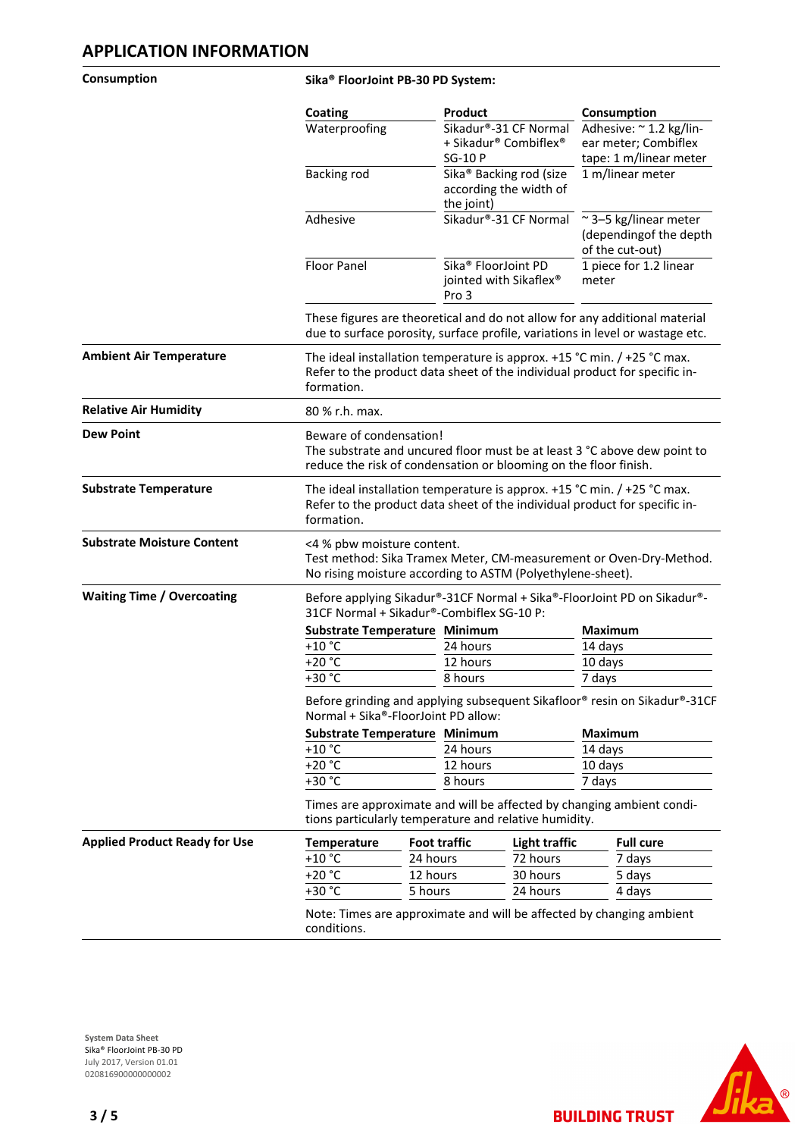#### **Consumption Sika® FloorJoint PB-30 PD System:**

|                                      | Coating                                                                                                                                                     |                                                                                                                                                                         | <b>Product</b>                                                              |                      | Consumption                                                               |  |
|--------------------------------------|-------------------------------------------------------------------------------------------------------------------------------------------------------------|-------------------------------------------------------------------------------------------------------------------------------------------------------------------------|-----------------------------------------------------------------------------|----------------------|---------------------------------------------------------------------------|--|
|                                      | Waterproofing                                                                                                                                               |                                                                                                                                                                         | Sikadur®-31 CF Normal<br>+ Sikadur® Combiflex®<br><b>SG-10 P</b>            |                      | Adhesive: ~ 1.2 kg/lin-<br>ear meter; Combiflex<br>tape: 1 m/linear meter |  |
|                                      | Backing rod                                                                                                                                                 |                                                                                                                                                                         | Sika <sup>®</sup> Backing rod (size<br>according the width of<br>the joint) |                      | 1 m/linear meter                                                          |  |
|                                      | Adhesive                                                                                                                                                    |                                                                                                                                                                         | Sikadur®-31 CF Normal                                                       |                      | ~3-5 kg/linear meter<br>(dependingof the depth<br>of the cut-out)         |  |
|                                      | Floor Panel                                                                                                                                                 |                                                                                                                                                                         | Sika® FloorJoint PD<br>jointed with Sikaflex®<br>Pro 3                      |                      | 1 piece for 1.2 linear<br>meter                                           |  |
|                                      | These figures are theoretical and do not allow for any additional material<br>due to surface porosity, surface profile, variations in level or wastage etc. |                                                                                                                                                                         |                                                                             |                      |                                                                           |  |
| <b>Ambient Air Temperature</b>       | formation.                                                                                                                                                  | The ideal installation temperature is approx. $+15$ °C min. / $+25$ °C max.<br>Refer to the product data sheet of the individual product for specific in-               |                                                                             |                      |                                                                           |  |
| <b>Relative Air Humidity</b>         | 80 % r.h. max.                                                                                                                                              |                                                                                                                                                                         |                                                                             |                      |                                                                           |  |
| <b>Dew Point</b>                     |                                                                                                                                                             | Beware of condensation!<br>The substrate and uncured floor must be at least 3 °C above dew point to<br>reduce the risk of condensation or blooming on the floor finish. |                                                                             |                      |                                                                           |  |
| <b>Substrate Temperature</b>         | formation.                                                                                                                                                  | The ideal installation temperature is approx. $+15$ °C min. / $+25$ °C max.<br>Refer to the product data sheet of the individual product for specific in-               |                                                                             |                      |                                                                           |  |
| <b>Substrate Moisture Content</b>    |                                                                                                                                                             | <4 % pbw moisture content.<br>Test method: Sika Tramex Meter, CM-measurement or Oven-Dry-Method.<br>No rising moisture according to ASTM (Polyethylene-sheet).          |                                                                             |                      |                                                                           |  |
| <b>Waiting Time / Overcoating</b>    | Before applying Sikadur®-31CF Normal + Sika®-FloorJoint PD on Sikadur®-<br>31CF Normal + Sikadur®-Combiflex SG-10 P:                                        |                                                                                                                                                                         |                                                                             |                      |                                                                           |  |
|                                      |                                                                                                                                                             | Substrate Temperature Minimum                                                                                                                                           |                                                                             |                      | <b>Maximum</b>                                                            |  |
|                                      | +10 $^{\circ}$ C                                                                                                                                            | 24 hours                                                                                                                                                                |                                                                             |                      | 14 days                                                                   |  |
|                                      | $+20 °C$                                                                                                                                                    |                                                                                                                                                                         | 12 hours                                                                    |                      | 10 days                                                                   |  |
|                                      |                                                                                                                                                             | +30 °C<br>8 hours                                                                                                                                                       |                                                                             |                      | 7 days                                                                    |  |
|                                      | Before grinding and applying subsequent Sikafloor® resin on Sikadur®-31CF<br>Normal + Sika®-FloorJoint PD allow:                                            |                                                                                                                                                                         |                                                                             |                      |                                                                           |  |
|                                      |                                                                                                                                                             | Substrate Temperature Minimum<br>24 hours                                                                                                                               |                                                                             |                      | <b>Maximum</b>                                                            |  |
|                                      |                                                                                                                                                             | $+10 °C$                                                                                                                                                                |                                                                             |                      | 14 days                                                                   |  |
|                                      |                                                                                                                                                             | +20 °C<br>12 hours                                                                                                                                                      |                                                                             |                      | 10 days                                                                   |  |
|                                      |                                                                                                                                                             | +30 °C<br>8 hours                                                                                                                                                       |                                                                             |                      | 7 days                                                                    |  |
|                                      | Times are approximate and will be affected by changing ambient condi-<br>tions particularly temperature and relative humidity.                              |                                                                                                                                                                         |                                                                             |                      |                                                                           |  |
| <b>Applied Product Ready for Use</b> | Temperature                                                                                                                                                 | <b>Foot traffic</b>                                                                                                                                                     |                                                                             | <b>Light traffic</b> | <b>Full cure</b>                                                          |  |
|                                      | $+10 °C$                                                                                                                                                    | 24 hours                                                                                                                                                                |                                                                             | 72 hours             | 7 days                                                                    |  |
|                                      | +20 °C                                                                                                                                                      | 12 hours                                                                                                                                                                |                                                                             | 30 hours             | 5 days                                                                    |  |
|                                      | +30 °C                                                                                                                                                      | 5 hours                                                                                                                                                                 |                                                                             | 24 hours             | 4 days                                                                    |  |
|                                      | Note: Times are approximate and will be affected by changing ambient<br>conditions.                                                                         |                                                                                                                                                                         |                                                                             |                      |                                                                           |  |





**BUILDING TRUST**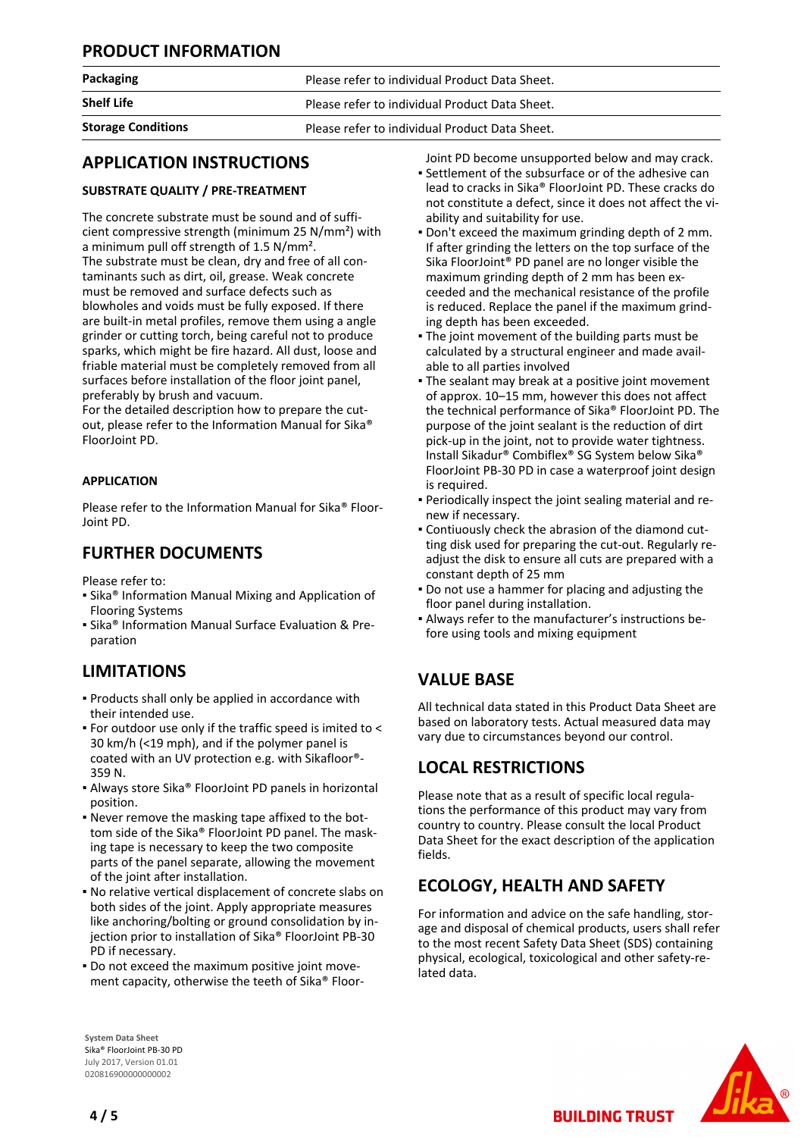## **PRODUCT INFORMATION**

|  | <b>Packaging</b> |  |
|--|------------------|--|
|  |                  |  |

**Shelf Life Please refer to individual Product Data Sheet.** 

Please refer to individual Product Data Sheet.

**Storage Conditions** Please refer to individual Product Data Sheet.

## **APPLICATION INSTRUCTIONS**

## **SUBSTRATE QUALITY / PRE-TREATMENT**

The concrete substrate must be sound and of sufficient compressive strength (minimum 25 N/mm²) with a minimum pull off strength of 1.5 N/mm². The substrate must be clean, dry and free of all contaminants such as dirt, oil, grease. Weak concrete must be removed and surface defects such as blowholes and voids must be fully exposed. If there are built-in metal profiles, remove them using a angle grinder or cutting torch, being careful not to produce sparks, which might be fire hazard. All dust, loose and friable material must be completely removed from all surfaces before installation of the floor joint panel, preferably by brush and vacuum.

For the detailed description how to prepare the cutout, please refer to the Information Manual for Sika® FloorJoint PD.

## **APPLICATION**

Please refer to the Information Manual for Sika® Floor-Joint PD.

## **FURTHER DOCUMENTS**

Please refer to:

- Sika® Information Manual Mixing and Application of Flooring Systems
- **Examps Information Manual Surface Evaluation & Pre**paration

# **LIMITATIONS**

- **Products shall only be applied in accordance with** their intended use.
- For outdoor use only if the traffic speed is imited to < 30 km/h (<19 mph), and if the polymer panel is coated with an UV protection e.g. with Sikafloor®- 359 N.
- Always store Sika® FloorJoint PD panels in horizontal position.
- Never remove the masking tape affixed to the bot-▪ tom side of the Sika® FloorJoint PD panel. The masking tape is necessary to keep the two composite parts of the panel separate, allowing the movement of the joint after installation.
- No relative vertical displacement of concrete slabs on both sides of the joint. Apply appropriate measures like anchoring/bolting or ground consolidation by injection prior to installation of Sika® FloorJoint PB-30 PD if necessary.
- Do not exceed the maximum positive joint move-▪ ment capacity, otherwise the teeth of Sika® Floor-

Joint PD become unsupported below and may crack.

- Settlement of the subsurface or of the adhesive can lead to cracks in Sika® FloorJoint PD. These cracks do not constitute a defect, since it does not affect the viability and suitability for use.
- Don't exceed the maximum grinding depth of 2 mm. If after grinding the letters on the top surface of the Sika FloorJoint® PD panel are no longer visible the maximum grinding depth of 2 mm has been exceeded and the mechanical resistance of the profile is reduced. Replace the panel if the maximum grinding depth has been exceeded.
- . The joint movement of the building parts must be calculated by a structural engineer and made available to all parties involved
- **The sealant may break at a positive joint movement** of approx. 10–15 mm, however this does not affect the technical performance of Sika® FloorJoint PD. The purpose of the joint sealant is the reduction of dirt pick-up in the joint, not to provide water tightness. Install Sikadur® Combiflex® SG System below Sika® FloorJoint PB-30 PD in case a waterproof joint design is required.
- Periodically inspect the joint sealing material and re-▪ new if necessary.
- Contiuously check the abrasion of the diamond cut-▪ ting disk used for preparing the cut-out. Regularly readjust the disk to ensure all cuts are prepared with a constant depth of 25 mm
- **.** Do not use a hammer for placing and adjusting the floor panel during installation.
- Always refer to the manufacturer's instructions be-▪ fore using tools and mixing equipment

# **VALUE BASE**

All technical data stated in this Product Data Sheet are based on laboratory tests. Actual measured data may vary due to circumstances beyond our control.

## **LOCAL RESTRICTIONS**

Please note that as a result of specific local regulations the performance of this product may vary from country to country. Please consult the local Product Data Sheet for the exact description of the application fields.

# **ECOLOGY, HEALTH AND SAFETY**

For information and advice on the safe handling, storage and disposal of chemical products, users shall refer to the most recent Safety Data Sheet (SDS) containing physical, ecological, toxicological and other safety-related data.

**BUILDING TRUST** 



**System Data Sheet** Sika® FloorJoint PB-30 PD July 2017, Version 01.01 020816900000000002